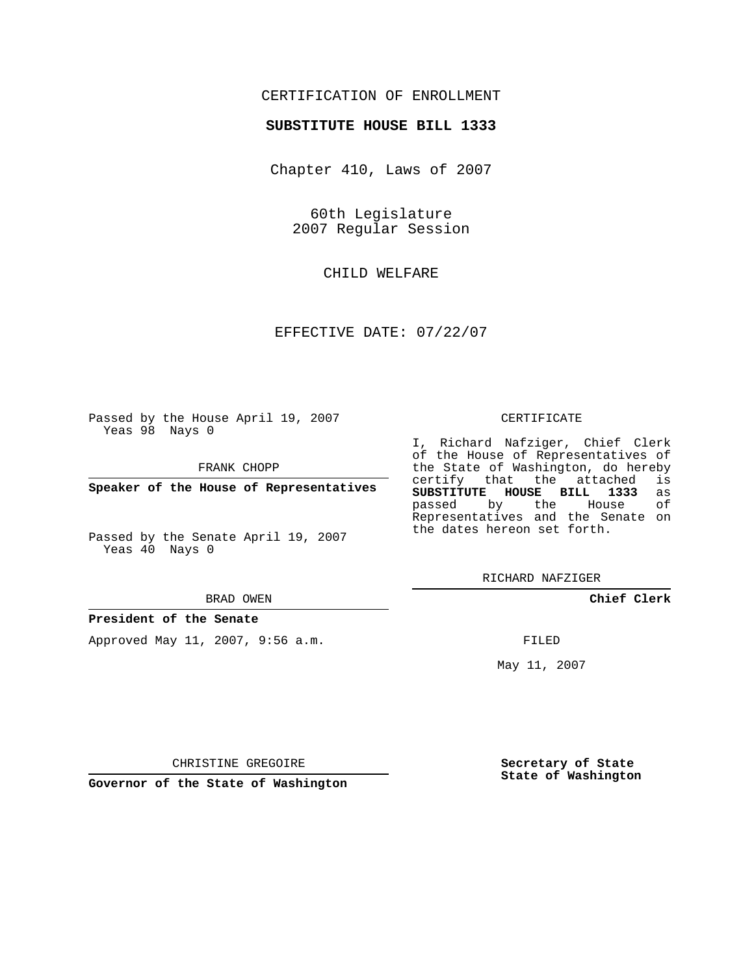# CERTIFICATION OF ENROLLMENT

## **SUBSTITUTE HOUSE BILL 1333**

Chapter 410, Laws of 2007

60th Legislature 2007 Regular Session

CHILD WELFARE

EFFECTIVE DATE: 07/22/07

Passed by the House April 19, 2007 Yeas 98 Nays 0

FRANK CHOPP

**Speaker of the House of Representatives**

Passed by the Senate April 19, 2007 Yeas 40 Nays 0

#### BRAD OWEN

**President of the Senate**

Approved May 11, 2007, 9:56 a.m.

#### CERTIFICATE

I, Richard Nafziger, Chief Clerk of the House of Representatives of the State of Washington, do hereby<br>certify that the attached is certify that the attached **SUBSTITUTE HOUSE BILL 1333** as passed by the House Representatives and the Senate on the dates hereon set forth.

RICHARD NAFZIGER

**Chief Clerk**

FILED

May 11, 2007

**Secretary of State State of Washington**

CHRISTINE GREGOIRE

**Governor of the State of Washington**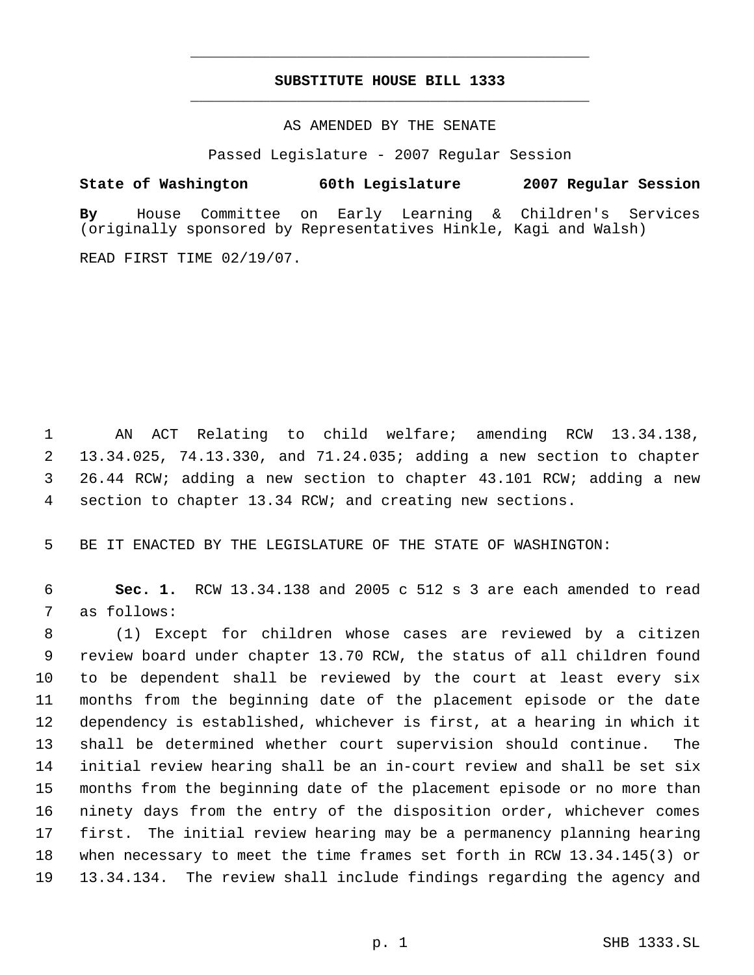# **SUBSTITUTE HOUSE BILL 1333** \_\_\_\_\_\_\_\_\_\_\_\_\_\_\_\_\_\_\_\_\_\_\_\_\_\_\_\_\_\_\_\_\_\_\_\_\_\_\_\_\_\_\_\_\_

\_\_\_\_\_\_\_\_\_\_\_\_\_\_\_\_\_\_\_\_\_\_\_\_\_\_\_\_\_\_\_\_\_\_\_\_\_\_\_\_\_\_\_\_\_

## AS AMENDED BY THE SENATE

Passed Legislature - 2007 Regular Session

# **State of Washington 60th Legislature 2007 Regular Session**

**By** House Committee on Early Learning & Children's Services (originally sponsored by Representatives Hinkle, Kagi and Walsh)

READ FIRST TIME 02/19/07.

 AN ACT Relating to child welfare; amending RCW 13.34.138, 13.34.025, 74.13.330, and 71.24.035; adding a new section to chapter 26.44 RCW; adding a new section to chapter 43.101 RCW; adding a new section to chapter 13.34 RCW; and creating new sections.

BE IT ENACTED BY THE LEGISLATURE OF THE STATE OF WASHINGTON:

 **Sec. 1.** RCW 13.34.138 and 2005 c 512 s 3 are each amended to read as follows:

 (1) Except for children whose cases are reviewed by a citizen review board under chapter 13.70 RCW, the status of all children found to be dependent shall be reviewed by the court at least every six months from the beginning date of the placement episode or the date dependency is established, whichever is first, at a hearing in which it shall be determined whether court supervision should continue. The initial review hearing shall be an in-court review and shall be set six months from the beginning date of the placement episode or no more than ninety days from the entry of the disposition order, whichever comes first. The initial review hearing may be a permanency planning hearing when necessary to meet the time frames set forth in RCW 13.34.145(3) or 13.34.134. The review shall include findings regarding the agency and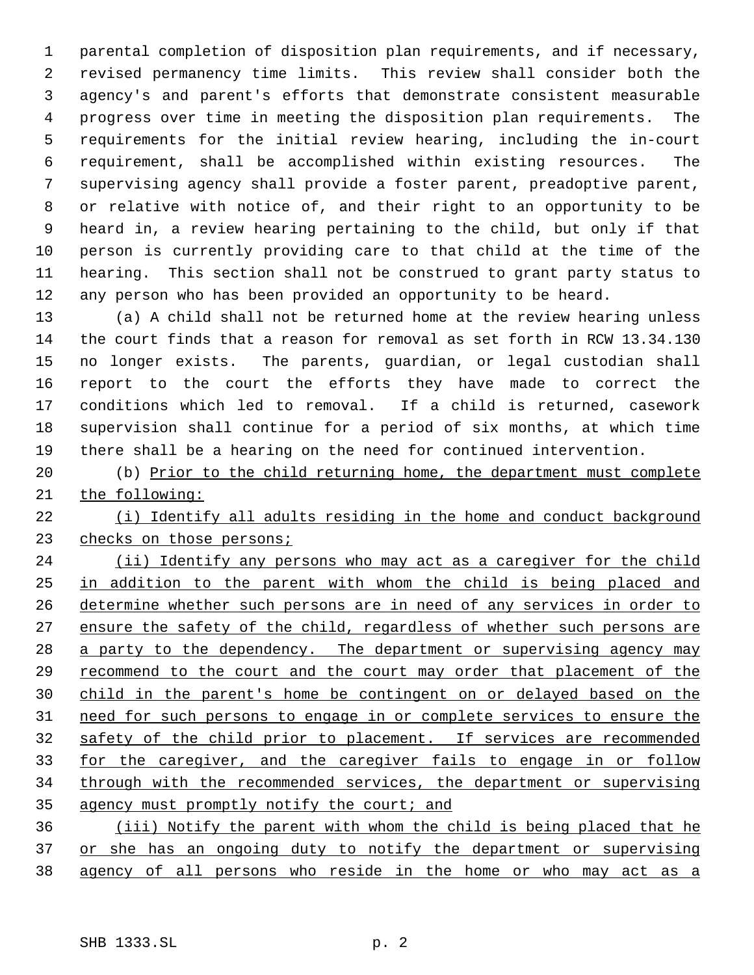parental completion of disposition plan requirements, and if necessary, revised permanency time limits. This review shall consider both the agency's and parent's efforts that demonstrate consistent measurable progress over time in meeting the disposition plan requirements. The requirements for the initial review hearing, including the in-court requirement, shall be accomplished within existing resources. The supervising agency shall provide a foster parent, preadoptive parent, or relative with notice of, and their right to an opportunity to be heard in, a review hearing pertaining to the child, but only if that person is currently providing care to that child at the time of the hearing. This section shall not be construed to grant party status to any person who has been provided an opportunity to be heard.

 (a) A child shall not be returned home at the review hearing unless the court finds that a reason for removal as set forth in RCW 13.34.130 no longer exists. The parents, guardian, or legal custodian shall report to the court the efforts they have made to correct the conditions which led to removal. If a child is returned, casework supervision shall continue for a period of six months, at which time there shall be a hearing on the need for continued intervention.

 (b) Prior to the child returning home, the department must complete the following:

 (i) Identify all adults residing in the home and conduct background 23 checks on those persons;

24 (ii) Identify any persons who may act as a caregiver for the child in addition to the parent with whom the child is being placed and determine whether such persons are in need of any services in order to 27 ensure the safety of the child, regardless of whether such persons are 28 a party to the dependency. The department or supervising agency may recommend to the court and the court may order that placement of the child in the parent's home be contingent on or delayed based on the need for such persons to engage in or complete services to ensure the safety of the child prior to placement. If services are recommended 33 for the caregiver, and the caregiver fails to engage in or follow through with the recommended services, the department or supervising 35 agency must promptly notify the court; and

 (iii) Notify the parent with whom the child is being placed that he 37 or she has an ongoing duty to notify the department or supervising agency of all persons who reside in the home or who may act as a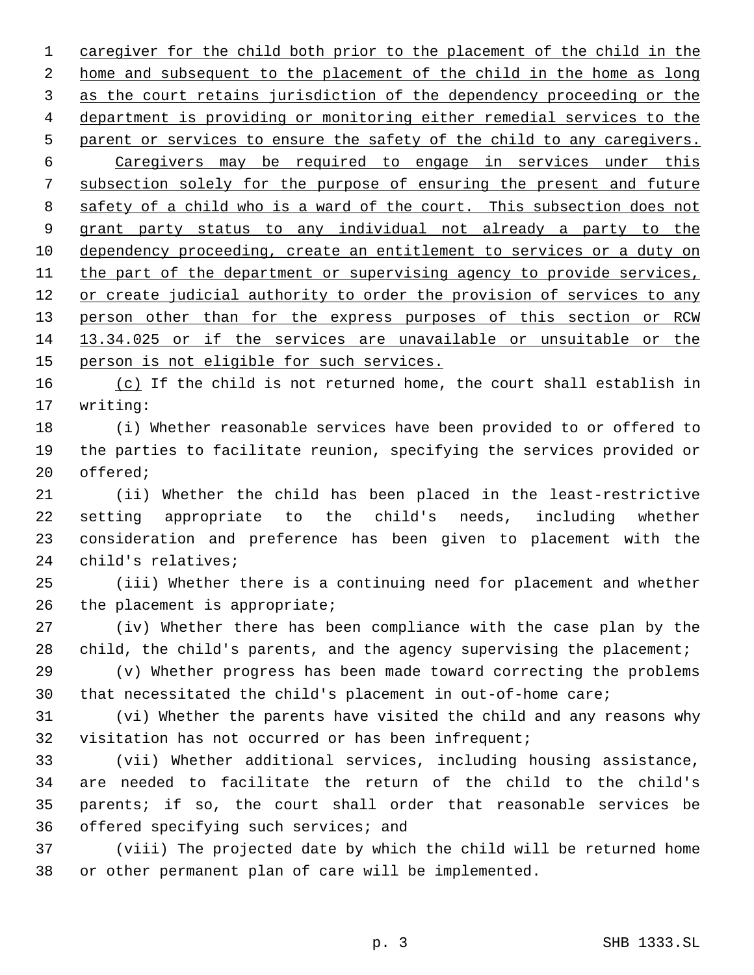caregiver for the child both prior to the placement of the child in the home and subsequent to the placement of the child in the home as long as the court retains jurisdiction of the dependency proceeding or the department is providing or monitoring either remedial services to the 5 parent or services to ensure the safety of the child to any caregivers. Caregivers may be required to engage in services under this subsection solely for the purpose of ensuring the present and future 8 safety of a child who is a ward of the court. This subsection does not grant party status to any individual not already a party to the 10 dependency proceeding, create an entitlement to services or a duty on 11 the part of the department or supervising agency to provide services, 12 or create judicial authority to order the provision of services to any 13 person other than for the express purposes of this section or RCW 13.34.025 or if the services are unavailable or unsuitable or the 15 person is not eligible for such services.

16 (c) If the child is not returned home, the court shall establish in writing:

 (i) Whether reasonable services have been provided to or offered to the parties to facilitate reunion, specifying the services provided or offered;

 (ii) Whether the child has been placed in the least-restrictive setting appropriate to the child's needs, including whether consideration and preference has been given to placement with the child's relatives;

 (iii) Whether there is a continuing need for placement and whether the placement is appropriate;

 (iv) Whether there has been compliance with the case plan by the 28 child, the child's parents, and the agency supervising the placement;

 (v) Whether progress has been made toward correcting the problems that necessitated the child's placement in out-of-home care;

 (vi) Whether the parents have visited the child and any reasons why visitation has not occurred or has been infrequent;

 (vii) Whether additional services, including housing assistance, are needed to facilitate the return of the child to the child's parents; if so, the court shall order that reasonable services be offered specifying such services; and

 (viii) The projected date by which the child will be returned home or other permanent plan of care will be implemented.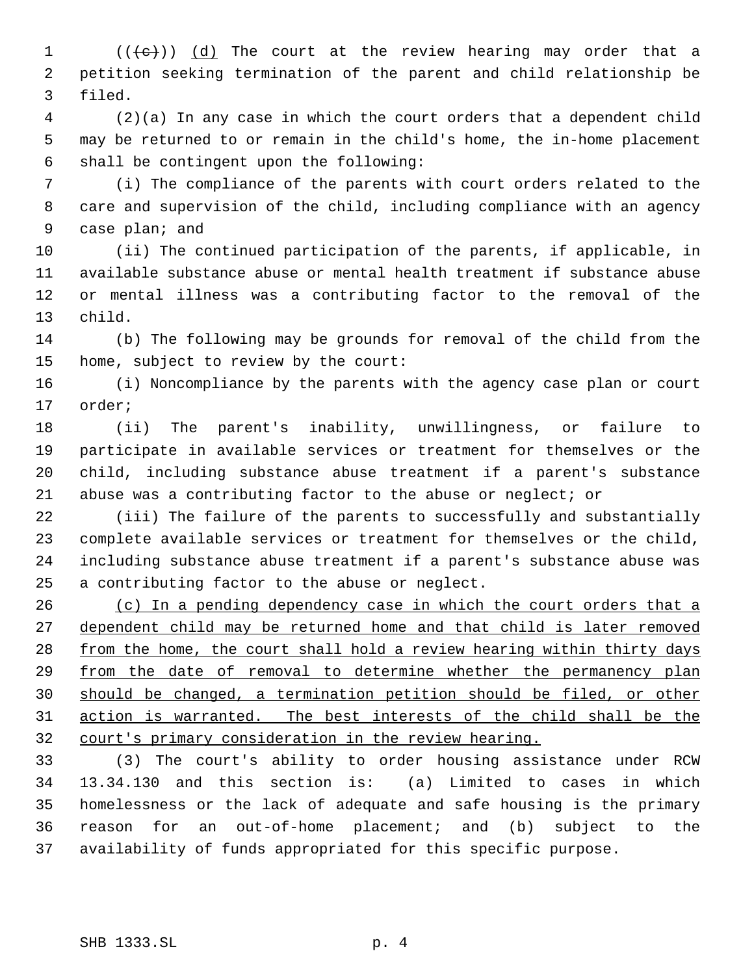$((\{e\}) \ (d)$  The court at the review hearing may order that a petition seeking termination of the parent and child relationship be filed.

 (2)(a) In any case in which the court orders that a dependent child may be returned to or remain in the child's home, the in-home placement shall be contingent upon the following:

 (i) The compliance of the parents with court orders related to the care and supervision of the child, including compliance with an agency case plan; and

 (ii) The continued participation of the parents, if applicable, in available substance abuse or mental health treatment if substance abuse or mental illness was a contributing factor to the removal of the child.

 (b) The following may be grounds for removal of the child from the home, subject to review by the court:

 (i) Noncompliance by the parents with the agency case plan or court order;

 (ii) The parent's inability, unwillingness, or failure to participate in available services or treatment for themselves or the child, including substance abuse treatment if a parent's substance abuse was a contributing factor to the abuse or neglect; or

 (iii) The failure of the parents to successfully and substantially complete available services or treatment for themselves or the child, including substance abuse treatment if a parent's substance abuse was a contributing factor to the abuse or neglect.

26 (c) In a pending dependency case in which the court orders that a dependent child may be returned home and that child is later removed 28 from the home, the court shall hold a review hearing within thirty days from the date of removal to determine whether the permanency plan should be changed, a termination petition should be filed, or other action is warranted. The best interests of the child shall be the court's primary consideration in the review hearing.

 (3) The court's ability to order housing assistance under RCW 13.34.130 and this section is: (a) Limited to cases in which homelessness or the lack of adequate and safe housing is the primary reason for an out-of-home placement; and (b) subject to the availability of funds appropriated for this specific purpose.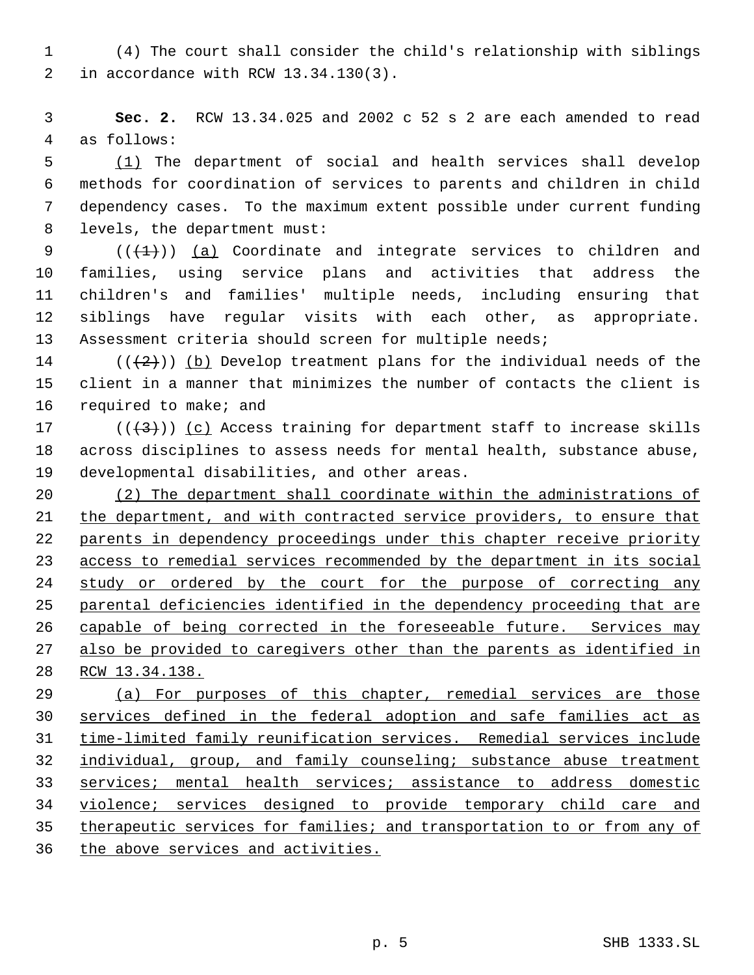(4) The court shall consider the child's relationship with siblings in accordance with RCW 13.34.130(3).

 **Sec. 2.** RCW 13.34.025 and 2002 c 52 s 2 are each amended to read as follows:

 (1) The department of social and health services shall develop methods for coordination of services to parents and children in child dependency cases. To the maximum extent possible under current funding levels, the department must:

 $((+1))$   $(a)$  Coordinate and integrate services to children and families, using service plans and activities that address the children's and families' multiple needs, including ensuring that siblings have regular visits with each other, as appropriate. Assessment criteria should screen for multiple needs;

14 ( $(\frac{1}{2})$ ) (b) Develop treatment plans for the individual needs of the client in a manner that minimizes the number of contacts the client is required to make; and

17 ( $(\langle 3 \rangle)$ ) (c) Access training for department staff to increase skills across disciplines to assess needs for mental health, substance abuse, developmental disabilities, and other areas.

 (2) The department shall coordinate within the administrations of the department, and with contracted service providers, to ensure that parents in dependency proceedings under this chapter receive priority access to remedial services recommended by the department in its social study or ordered by the court for the purpose of correcting any parental deficiencies identified in the dependency proceeding that are 26 capable of being corrected in the foreseeable future. Services may also be provided to caregivers other than the parents as identified in RCW 13.34.138.

 (a) For purposes of this chapter, remedial services are those services defined in the federal adoption and safe families act as time-limited family reunification services. Remedial services include 32 individual, group, and family counseling; substance abuse treatment services; mental health services; assistance to address domestic violence; services designed to provide temporary child care and therapeutic services for families; and transportation to or from any of 36 the above services and activities.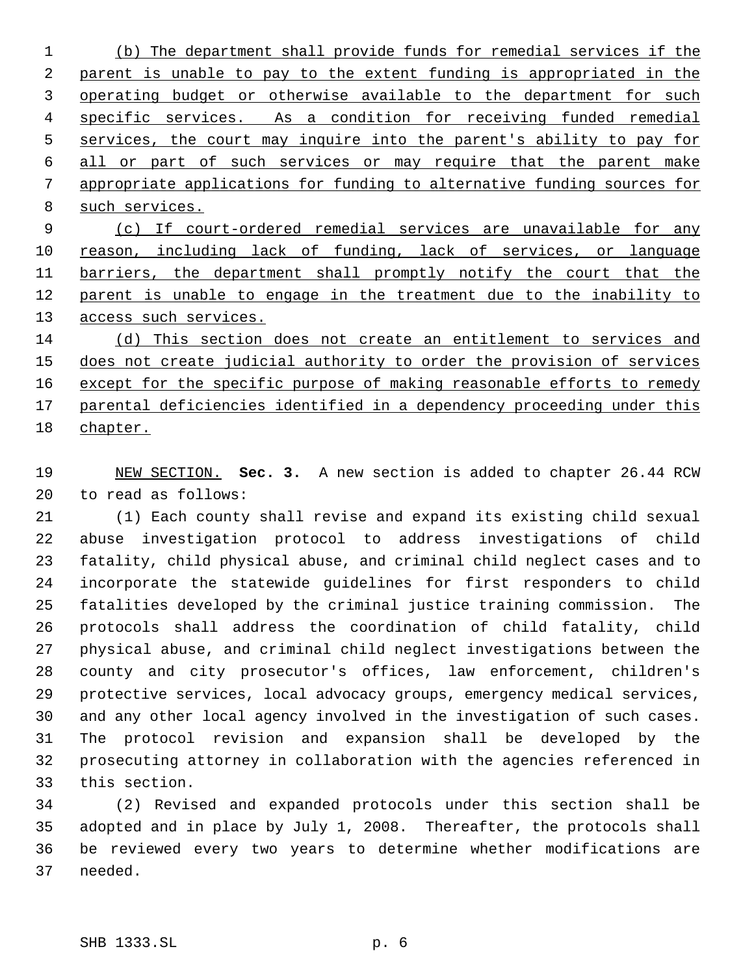(b) The department shall provide funds for remedial services if the parent is unable to pay to the extent funding is appropriated in the 3 operating budget or otherwise available to the department for such specific services. As a condition for receiving funded remedial services, the court may inquire into the parent's ability to pay for all or part of such services or may require that the parent make appropriate applications for funding to alternative funding sources for such services.

 (c) If court-ordered remedial services are unavailable for any 10 reason, including lack of funding, lack of services, or language barriers, the department shall promptly notify the court that the parent is unable to engage in the treatment due to the inability to 13 access such services.

 (d) This section does not create an entitlement to services and 15 does not create judicial authority to order the provision of services 16 except for the specific purpose of making reasonable efforts to remedy parental deficiencies identified in a dependency proceeding under this chapter.

 NEW SECTION. **Sec. 3.** A new section is added to chapter 26.44 RCW to read as follows:

 (1) Each county shall revise and expand its existing child sexual abuse investigation protocol to address investigations of child fatality, child physical abuse, and criminal child neglect cases and to incorporate the statewide guidelines for first responders to child fatalities developed by the criminal justice training commission. The protocols shall address the coordination of child fatality, child physical abuse, and criminal child neglect investigations between the county and city prosecutor's offices, law enforcement, children's protective services, local advocacy groups, emergency medical services, and any other local agency involved in the investigation of such cases. The protocol revision and expansion shall be developed by the prosecuting attorney in collaboration with the agencies referenced in this section.

 (2) Revised and expanded protocols under this section shall be adopted and in place by July 1, 2008. Thereafter, the protocols shall be reviewed every two years to determine whether modifications are needed.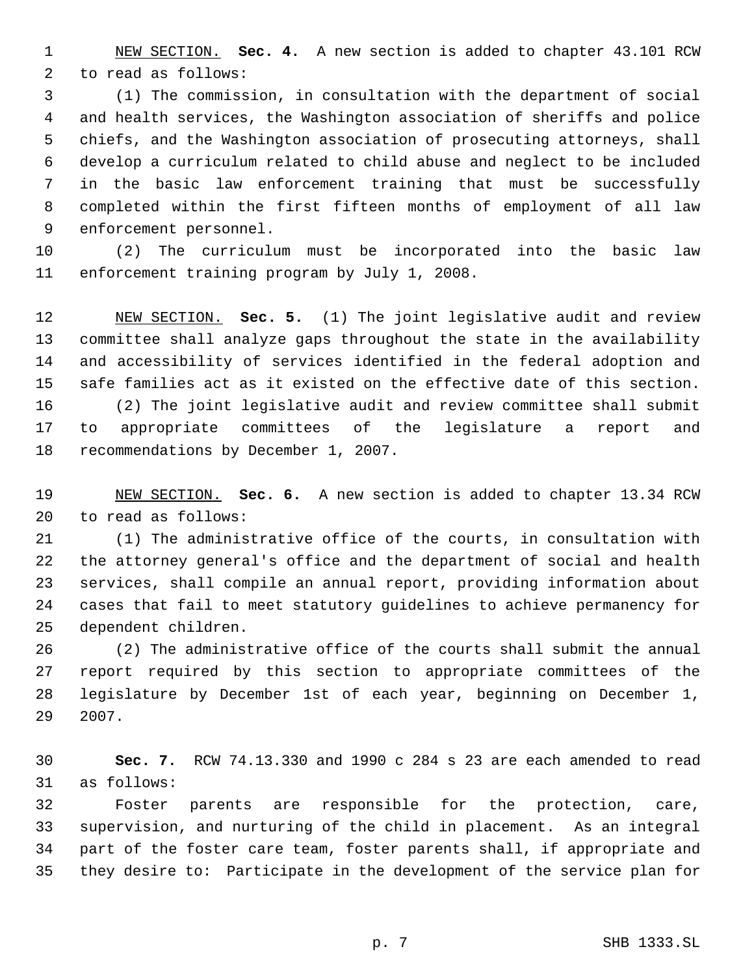NEW SECTION. **Sec. 4.** A new section is added to chapter 43.101 RCW to read as follows:

 (1) The commission, in consultation with the department of social and health services, the Washington association of sheriffs and police chiefs, and the Washington association of prosecuting attorneys, shall develop a curriculum related to child abuse and neglect to be included in the basic law enforcement training that must be successfully completed within the first fifteen months of employment of all law enforcement personnel.

 (2) The curriculum must be incorporated into the basic law enforcement training program by July 1, 2008.

 NEW SECTION. **Sec. 5.** (1) The joint legislative audit and review committee shall analyze gaps throughout the state in the availability and accessibility of services identified in the federal adoption and safe families act as it existed on the effective date of this section.

 (2) The joint legislative audit and review committee shall submit to appropriate committees of the legislature a report and recommendations by December 1, 2007.

 NEW SECTION. **Sec. 6.** A new section is added to chapter 13.34 RCW to read as follows:

 (1) The administrative office of the courts, in consultation with the attorney general's office and the department of social and health services, shall compile an annual report, providing information about cases that fail to meet statutory guidelines to achieve permanency for dependent children.

 (2) The administrative office of the courts shall submit the annual report required by this section to appropriate committees of the legislature by December 1st of each year, beginning on December 1, 2007.

 **Sec. 7.** RCW 74.13.330 and 1990 c 284 s 23 are each amended to read as follows:

 Foster parents are responsible for the protection, care, supervision, and nurturing of the child in placement. As an integral part of the foster care team, foster parents shall, if appropriate and they desire to: Participate in the development of the service plan for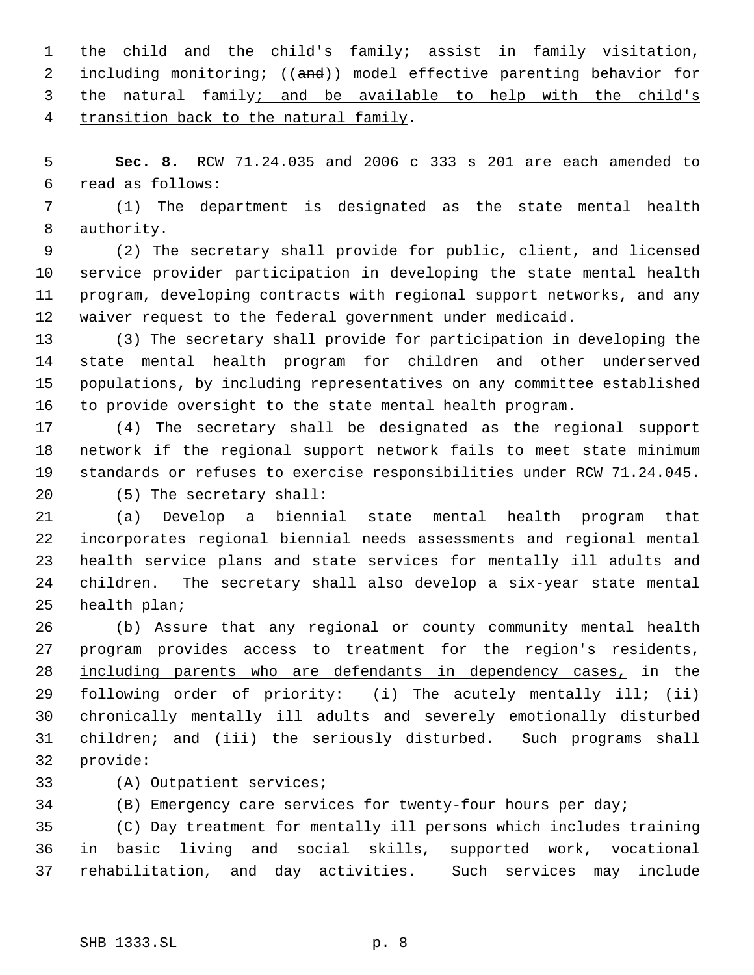the child and the child's family; assist in family visitation, 2 including monitoring; ((and)) model effective parenting behavior for 3 the natural family; and be available to help with the child's transition back to the natural family.

 **Sec. 8.** RCW 71.24.035 and 2006 c 333 s 201 are each amended to read as follows:

 (1) The department is designated as the state mental health authority.

 (2) The secretary shall provide for public, client, and licensed service provider participation in developing the state mental health program, developing contracts with regional support networks, and any waiver request to the federal government under medicaid.

 (3) The secretary shall provide for participation in developing the state mental health program for children and other underserved populations, by including representatives on any committee established to provide oversight to the state mental health program.

 (4) The secretary shall be designated as the regional support network if the regional support network fails to meet state minimum standards or refuses to exercise responsibilities under RCW 71.24.045. (5) The secretary shall:

 (a) Develop a biennial state mental health program that incorporates regional biennial needs assessments and regional mental health service plans and state services for mentally ill adults and children. The secretary shall also develop a six-year state mental

 (b) Assure that any regional or county community mental health 27 program provides access to treatment for the region's residents, including parents who are defendants in dependency cases, in the following order of priority: (i) The acutely mentally ill; (ii) chronically mentally ill adults and severely emotionally disturbed children; and (iii) the seriously disturbed. Such programs shall provide:

(A) Outpatient services;

(B) Emergency care services for twenty-four hours per day;

 (C) Day treatment for mentally ill persons which includes training in basic living and social skills, supported work, vocational rehabilitation, and day activities. Such services may include

health plan;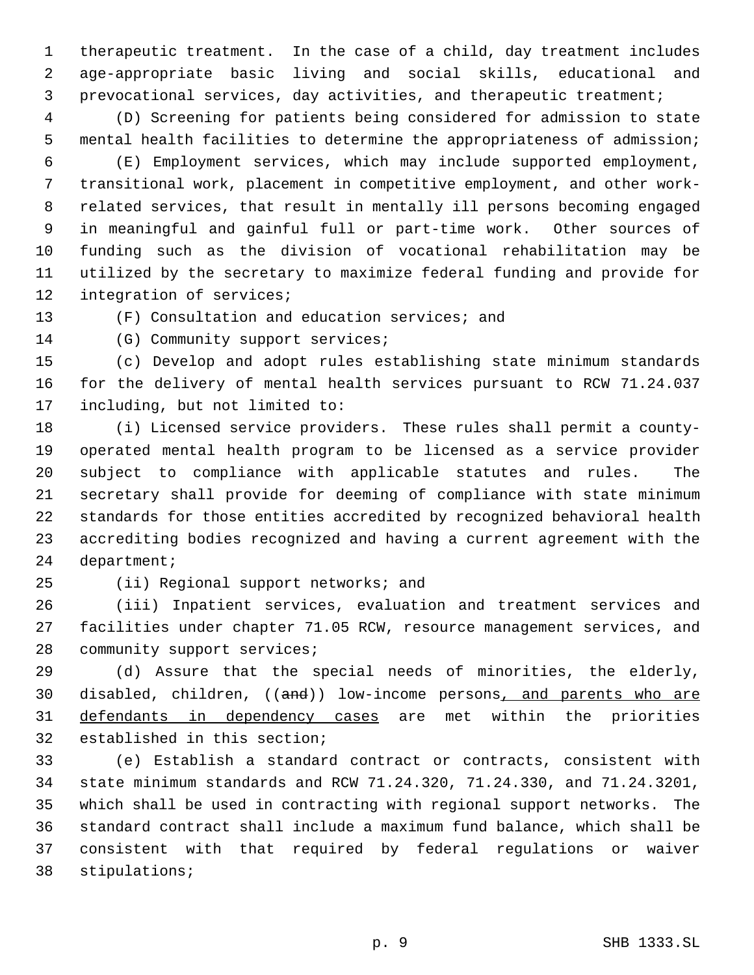therapeutic treatment. In the case of a child, day treatment includes age-appropriate basic living and social skills, educational and prevocational services, day activities, and therapeutic treatment;

 (D) Screening for patients being considered for admission to state mental health facilities to determine the appropriateness of admission;

 (E) Employment services, which may include supported employment, transitional work, placement in competitive employment, and other work- related services, that result in mentally ill persons becoming engaged in meaningful and gainful full or part-time work. Other sources of funding such as the division of vocational rehabilitation may be utilized by the secretary to maximize federal funding and provide for integration of services;

(F) Consultation and education services; and

14 (G) Community support services;

 (c) Develop and adopt rules establishing state minimum standards for the delivery of mental health services pursuant to RCW 71.24.037 including, but not limited to:

 (i) Licensed service providers. These rules shall permit a county- operated mental health program to be licensed as a service provider subject to compliance with applicable statutes and rules. The secretary shall provide for deeming of compliance with state minimum standards for those entities accredited by recognized behavioral health accrediting bodies recognized and having a current agreement with the department;

(ii) Regional support networks; and

 (iii) Inpatient services, evaluation and treatment services and facilities under chapter 71.05 RCW, resource management services, and 28 community support services;

 (d) Assure that the special needs of minorities, the elderly, 30 disabled, children, ((and)) low-income persons, and parents who are defendants in dependency cases are met within the priorities established in this section;

 (e) Establish a standard contract or contracts, consistent with state minimum standards and RCW 71.24.320, 71.24.330, and 71.24.3201, which shall be used in contracting with regional support networks. The standard contract shall include a maximum fund balance, which shall be consistent with that required by federal regulations or waiver stipulations;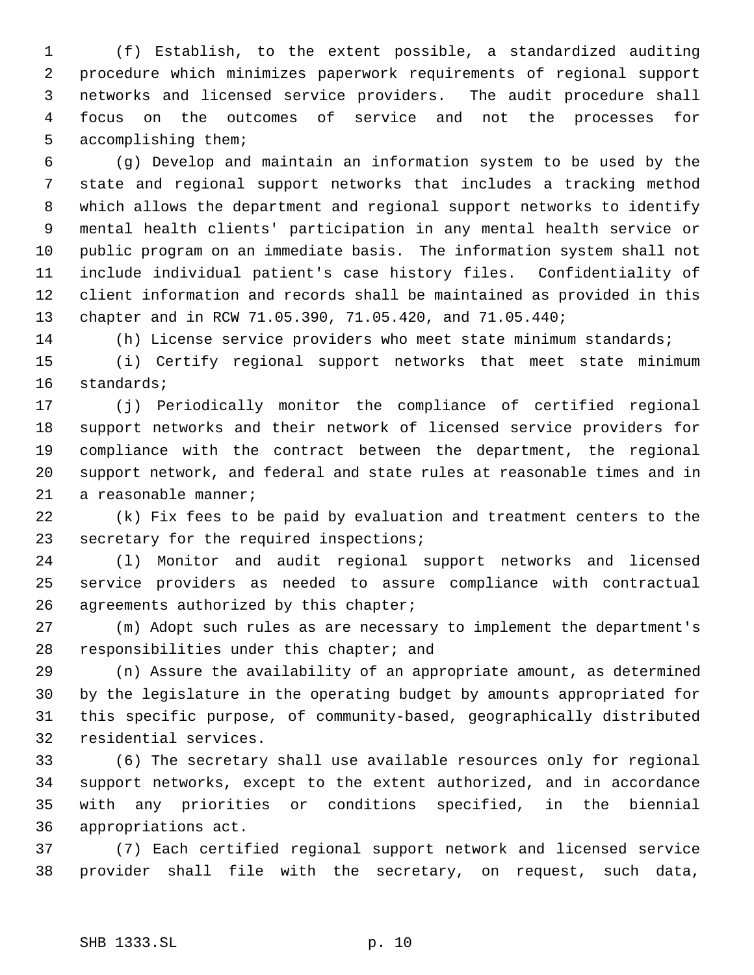(f) Establish, to the extent possible, a standardized auditing procedure which minimizes paperwork requirements of regional support networks and licensed service providers. The audit procedure shall focus on the outcomes of service and not the processes for accomplishing them;

 (g) Develop and maintain an information system to be used by the state and regional support networks that includes a tracking method which allows the department and regional support networks to identify mental health clients' participation in any mental health service or public program on an immediate basis. The information system shall not include individual patient's case history files. Confidentiality of client information and records shall be maintained as provided in this chapter and in RCW 71.05.390, 71.05.420, and 71.05.440;

(h) License service providers who meet state minimum standards;

 (i) Certify regional support networks that meet state minimum standards;

 (j) Periodically monitor the compliance of certified regional support networks and their network of licensed service providers for compliance with the contract between the department, the regional support network, and federal and state rules at reasonable times and in a reasonable manner;

 (k) Fix fees to be paid by evaluation and treatment centers to the secretary for the required inspections;

 (l) Monitor and audit regional support networks and licensed service providers as needed to assure compliance with contractual 26 agreements authorized by this chapter;

 (m) Adopt such rules as are necessary to implement the department's responsibilities under this chapter; and

 (n) Assure the availability of an appropriate amount, as determined by the legislature in the operating budget by amounts appropriated for this specific purpose, of community-based, geographically distributed residential services.

 (6) The secretary shall use available resources only for regional support networks, except to the extent authorized, and in accordance with any priorities or conditions specified, in the biennial appropriations act.

 (7) Each certified regional support network and licensed service provider shall file with the secretary, on request, such data,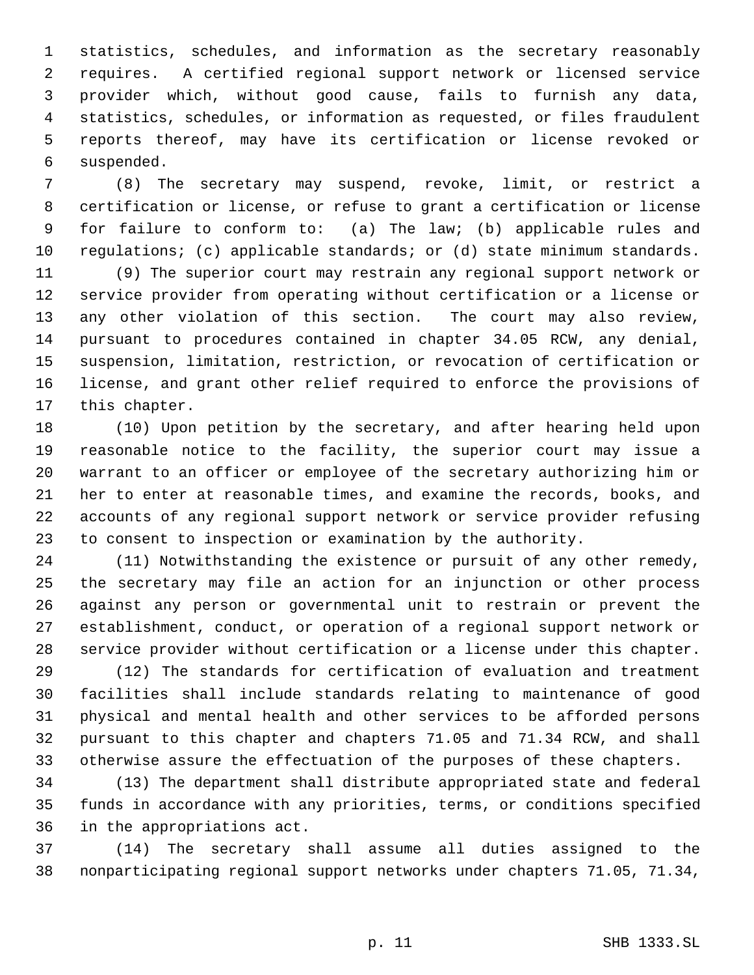statistics, schedules, and information as the secretary reasonably requires. A certified regional support network or licensed service provider which, without good cause, fails to furnish any data, statistics, schedules, or information as requested, or files fraudulent reports thereof, may have its certification or license revoked or suspended.

 (8) The secretary may suspend, revoke, limit, or restrict a certification or license, or refuse to grant a certification or license for failure to conform to: (a) The law; (b) applicable rules and regulations; (c) applicable standards; or (d) state minimum standards.

 (9) The superior court may restrain any regional support network or service provider from operating without certification or a license or any other violation of this section. The court may also review, pursuant to procedures contained in chapter 34.05 RCW, any denial, suspension, limitation, restriction, or revocation of certification or license, and grant other relief required to enforce the provisions of this chapter.

 (10) Upon petition by the secretary, and after hearing held upon reasonable notice to the facility, the superior court may issue a warrant to an officer or employee of the secretary authorizing him or her to enter at reasonable times, and examine the records, books, and accounts of any regional support network or service provider refusing to consent to inspection or examination by the authority.

 (11) Notwithstanding the existence or pursuit of any other remedy, the secretary may file an action for an injunction or other process against any person or governmental unit to restrain or prevent the establishment, conduct, or operation of a regional support network or service provider without certification or a license under this chapter.

 (12) The standards for certification of evaluation and treatment facilities shall include standards relating to maintenance of good physical and mental health and other services to be afforded persons pursuant to this chapter and chapters 71.05 and 71.34 RCW, and shall otherwise assure the effectuation of the purposes of these chapters.

 (13) The department shall distribute appropriated state and federal funds in accordance with any priorities, terms, or conditions specified in the appropriations act.

 (14) The secretary shall assume all duties assigned to the nonparticipating regional support networks under chapters 71.05, 71.34,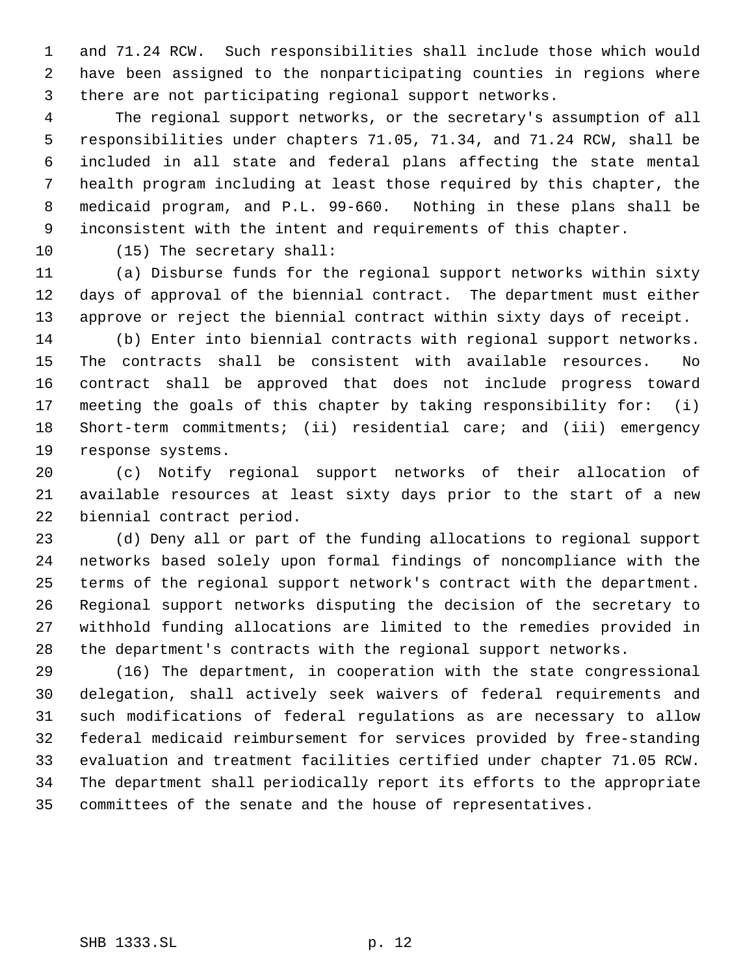and 71.24 RCW. Such responsibilities shall include those which would have been assigned to the nonparticipating counties in regions where there are not participating regional support networks.

 The regional support networks, or the secretary's assumption of all responsibilities under chapters 71.05, 71.34, and 71.24 RCW, shall be included in all state and federal plans affecting the state mental health program including at least those required by this chapter, the medicaid program, and P.L. 99-660. Nothing in these plans shall be inconsistent with the intent and requirements of this chapter.

(15) The secretary shall:

 (a) Disburse funds for the regional support networks within sixty days of approval of the biennial contract. The department must either approve or reject the biennial contract within sixty days of receipt.

 (b) Enter into biennial contracts with regional support networks. The contracts shall be consistent with available resources. No contract shall be approved that does not include progress toward meeting the goals of this chapter by taking responsibility for: (i) Short-term commitments; (ii) residential care; and (iii) emergency response systems.

 (c) Notify regional support networks of their allocation of available resources at least sixty days prior to the start of a new biennial contract period.

 (d) Deny all or part of the funding allocations to regional support networks based solely upon formal findings of noncompliance with the terms of the regional support network's contract with the department. Regional support networks disputing the decision of the secretary to withhold funding allocations are limited to the remedies provided in the department's contracts with the regional support networks.

 (16) The department, in cooperation with the state congressional delegation, shall actively seek waivers of federal requirements and such modifications of federal regulations as are necessary to allow federal medicaid reimbursement for services provided by free-standing evaluation and treatment facilities certified under chapter 71.05 RCW. The department shall periodically report its efforts to the appropriate committees of the senate and the house of representatives.